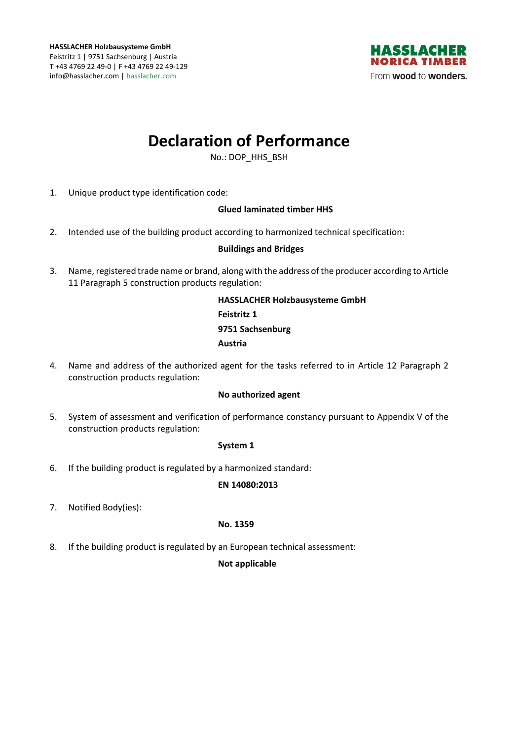

# **Declaration of Performance**

No.: DOP\_HHS\_BSH

1. Unique product type identification code:

## **Glued laminated timber HHS**

2. Intended use of the building product according to harmonized technical specification:

## **Buildings and Bridges**

3. Name, registered trade name or brand, along with the address of the producer according to Article 11 Paragraph 5 construction products regulation:

# **HASSLACHER Holzbausysteme GmbH Feistritz 1 9751 Sachsenburg Austria**

4. Name and address of the authorized agent for the tasks referred to in Article 12 Paragraph 2 construction products regulation:

#### **No authorized agent**

5. System of assessment and verification of performance constancy pursuant to Appendix V of the construction products regulation:

#### **System 1**

6. If the building product is regulated by a harmonized standard:

#### **EN 14080:2013**

7. Notified Body(ies):

#### **No. 1359**

8. If the building product is regulated by an European technical assessment:

#### **Not applicable**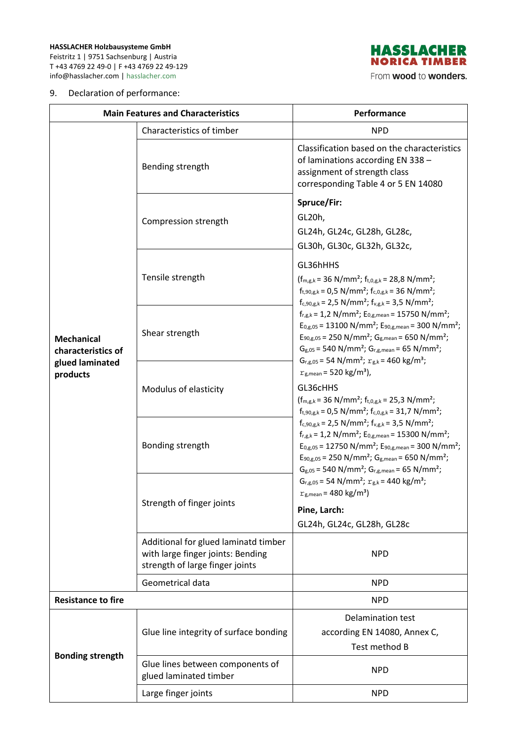**HASSLACHER Holzbausysteme GmbH**  Feistritz 1 | 9751 Sachsenburg | Austria T +43 4769 22 49-0 | F +43 4769 22 49-129 info@hasslacher.com | hasslacher.com

#### 9. Declaration of performance:



From wood to wonders.

| <b>Main Features and Characteristics</b>                               |                                                                                                              | Performance                                                                                                                                                                                                                                                                                                                                                                                                                                                                                                                                                                                                                                                                                                                                                                                                                                                                                                                                                                                                                                                                                                                                                                                                                                                                                                                                          |
|------------------------------------------------------------------------|--------------------------------------------------------------------------------------------------------------|------------------------------------------------------------------------------------------------------------------------------------------------------------------------------------------------------------------------------------------------------------------------------------------------------------------------------------------------------------------------------------------------------------------------------------------------------------------------------------------------------------------------------------------------------------------------------------------------------------------------------------------------------------------------------------------------------------------------------------------------------------------------------------------------------------------------------------------------------------------------------------------------------------------------------------------------------------------------------------------------------------------------------------------------------------------------------------------------------------------------------------------------------------------------------------------------------------------------------------------------------------------------------------------------------------------------------------------------------|
|                                                                        | Characteristics of timber                                                                                    | <b>NPD</b>                                                                                                                                                                                                                                                                                                                                                                                                                                                                                                                                                                                                                                                                                                                                                                                                                                                                                                                                                                                                                                                                                                                                                                                                                                                                                                                                           |
| <b>Mechanical</b><br>characteristics of<br>glued laminated<br>products | Bending strength                                                                                             | Classification based on the characteristics<br>of laminations according EN 338 -<br>assignment of strength class<br>corresponding Table 4 or 5 EN 14080                                                                                                                                                                                                                                                                                                                                                                                                                                                                                                                                                                                                                                                                                                                                                                                                                                                                                                                                                                                                                                                                                                                                                                                              |
|                                                                        | Compression strength                                                                                         | Spruce/Fir:<br>GL20h,<br>GL24h, GL24c, GL28h, GL28c,<br>GL30h, GL30c, GL32h, GL32c,                                                                                                                                                                                                                                                                                                                                                                                                                                                                                                                                                                                                                                                                                                                                                                                                                                                                                                                                                                                                                                                                                                                                                                                                                                                                  |
|                                                                        | Tensile strength                                                                                             | GL36hHHS<br>$(f_{m,g,k} = 36 \text{ N/mm}^2; f_{t,0,g,k} = 28.8 \text{ N/mm}^2;$<br>$f_{t,90,g,k} = 0.5 \text{ N/mm}^2$ ; $f_{c,0,g,k} = 36 \text{ N/mm}^2$ ;<br>$f_{c,90,g,k}$ = 2,5 N/mm <sup>2</sup> ; $f_{v,g,k}$ = 3,5 N/mm <sup>2</sup> ;<br>$f_{r,g,k}$ = 1,2 N/mm <sup>2</sup> ; E <sub>0,g,mean</sub> = 15750 N/mm <sup>2</sup> ;<br>$E_{0,g,05}$ = 13100 N/mm <sup>2</sup> ; $E_{90,g,mean}$ = 300 N/mm <sup>2</sup> ;<br>$E_{90,g,05}$ = 250 N/mm <sup>2</sup> ; G <sub>g,mean</sub> = 650 N/mm <sup>2</sup> ;<br>$G_{g,05}$ = 540 N/mm <sup>2</sup> ; $G_{r,g,mean}$ = 65 N/mm <sup>2</sup> ;<br>$G_{r,g,05}$ = 54 N/mm <sup>2</sup> ; $r_{g,k}$ = 460 kg/m <sup>3</sup> ;<br>$r_{\rm g,mean}$ = 520 kg/m <sup>3</sup> ),<br>GL36cHHS<br>$(f_{m,g,k} = 36 \text{ N/mm}^2; f_{t,0,g,k} = 25.3 \text{ N/mm}^2;$<br>$f_{t,90,g,k} = 0.5 \text{ N/mm}^2$ ; $f_{c,0,g,k} = 31.7 \text{ N/mm}^2$ ;<br>$f_{c,90,g,k}$ = 2,5 N/mm <sup>2</sup> ; $f_{v,g,k}$ = 3,5 N/mm <sup>2</sup> ;<br>$f_{r,g,k}$ = 1,2 N/mm <sup>2</sup> ; E <sub>0,g,mean</sub> = 15300 N/mm <sup>2</sup> ;<br>$E_{0,g,05}$ = 12750 N/mm <sup>2</sup> ; $E_{90,g,mean}$ = 300 N/mm <sup>2</sup> ;<br>$E_{90,g,05}$ = 250 N/mm <sup>2</sup> ; G <sub>g,mean</sub> = 650 N/mm <sup>2</sup> ;<br>$G_{g,05}$ = 540 N/mm <sup>2</sup> ; $G_{r,g,mean}$ = 65 N/mm <sup>2</sup> ; |
|                                                                        | Shear strength                                                                                               |                                                                                                                                                                                                                                                                                                                                                                                                                                                                                                                                                                                                                                                                                                                                                                                                                                                                                                                                                                                                                                                                                                                                                                                                                                                                                                                                                      |
|                                                                        | Modulus of elasticity                                                                                        |                                                                                                                                                                                                                                                                                                                                                                                                                                                                                                                                                                                                                                                                                                                                                                                                                                                                                                                                                                                                                                                                                                                                                                                                                                                                                                                                                      |
|                                                                        | Bonding strength                                                                                             |                                                                                                                                                                                                                                                                                                                                                                                                                                                                                                                                                                                                                                                                                                                                                                                                                                                                                                                                                                                                                                                                                                                                                                                                                                                                                                                                                      |
|                                                                        | Strength of finger joints                                                                                    | $G_{r,g,05}$ = 54 N/mm <sup>2</sup> ; $r_{g,k}$ = 440 kg/m <sup>3</sup> ;<br>$r_{g,mean}$ = 480 kg/m <sup>3</sup> )<br>Pine, Larch:<br>GL24h, GL24c, GL28h, GL28c                                                                                                                                                                                                                                                                                                                                                                                                                                                                                                                                                                                                                                                                                                                                                                                                                                                                                                                                                                                                                                                                                                                                                                                    |
|                                                                        | Additional for glued laminatd timber<br>with large finger joints: Bending<br>strength of large finger joints | <b>NPD</b>                                                                                                                                                                                                                                                                                                                                                                                                                                                                                                                                                                                                                                                                                                                                                                                                                                                                                                                                                                                                                                                                                                                                                                                                                                                                                                                                           |
|                                                                        | Geometrical data                                                                                             | <b>NPD</b>                                                                                                                                                                                                                                                                                                                                                                                                                                                                                                                                                                                                                                                                                                                                                                                                                                                                                                                                                                                                                                                                                                                                                                                                                                                                                                                                           |
| <b>Resistance to fire</b>                                              |                                                                                                              | <b>NPD</b>                                                                                                                                                                                                                                                                                                                                                                                                                                                                                                                                                                                                                                                                                                                                                                                                                                                                                                                                                                                                                                                                                                                                                                                                                                                                                                                                           |
| <b>Bonding strength</b>                                                | Glue line integrity of surface bonding                                                                       | <b>Delamination test</b><br>according EN 14080, Annex C,<br>Test method B                                                                                                                                                                                                                                                                                                                                                                                                                                                                                                                                                                                                                                                                                                                                                                                                                                                                                                                                                                                                                                                                                                                                                                                                                                                                            |
|                                                                        | Glue lines between components of<br>glued laminated timber                                                   | <b>NPD</b>                                                                                                                                                                                                                                                                                                                                                                                                                                                                                                                                                                                                                                                                                                                                                                                                                                                                                                                                                                                                                                                                                                                                                                                                                                                                                                                                           |
|                                                                        | Large finger joints                                                                                          | <b>NPD</b>                                                                                                                                                                                                                                                                                                                                                                                                                                                                                                                                                                                                                                                                                                                                                                                                                                                                                                                                                                                                                                                                                                                                                                                                                                                                                                                                           |